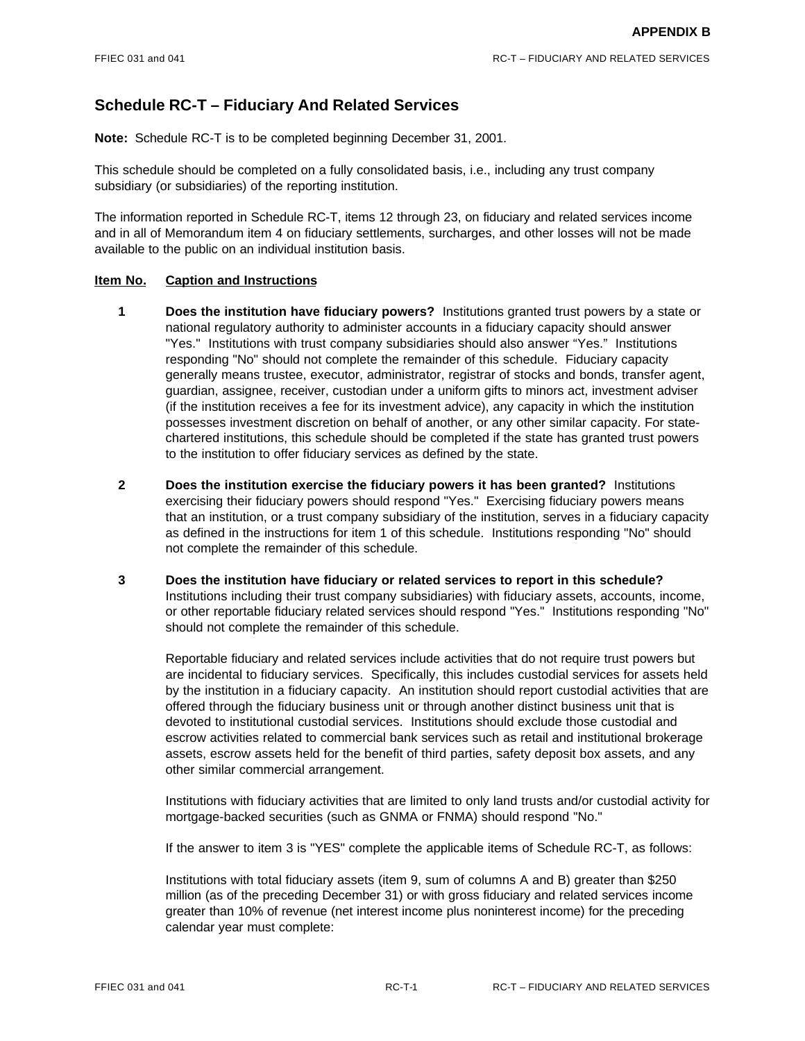# **Schedule RC-T – Fiduciary And Related Services**

**Note:** Schedule RC-T is to be completed beginning December 31, 2001.

This schedule should be completed on a fully consolidated basis, i.e., including any trust company subsidiary (or subsidiaries) of the reporting institution.

The information reported in Schedule RC-T, items 12 through 23, on fiduciary and related services income and in all of Memorandum item 4 on fiduciary settlements, surcharges, and other losses will not be made available to the public on an individual institution basis.

### **Item No. Caption and Instructions**

- **1 Does the institution have fiduciary powers?** Institutions granted trust powers by a state or national regulatory authority to administer accounts in a fiduciary capacity should answer "Yes." Institutions with trust company subsidiaries should also answer "Yes." Institutions responding "No" should not complete the remainder of this schedule. Fiduciary capacity generally means trustee, executor, administrator, registrar of stocks and bonds, transfer agent, guardian, assignee, receiver, custodian under a uniform gifts to minors act, investment adviser (if the institution receives a fee for its investment advice), any capacity in which the institution possesses investment discretion on behalf of another, or any other similar capacity. For statechartered institutions, this schedule should be completed if the state has granted trust powers to the institution to offer fiduciary services as defined by the state.
- **2 Does the institution exercise the fiduciary powers it has been granted?** Institutions exercising their fiduciary powers should respond "Yes." Exercising fiduciary powers means that an institution, or a trust company subsidiary of the institution, serves in a fiduciary capacity as defined in the instructions for item 1 of this schedule. Institutions responding "No" should not complete the remainder of this schedule.
- **3 Does the institution have fiduciary or related services to report in this schedule?**  Institutions including their trust company subsidiaries) with fiduciary assets, accounts, income, or other reportable fiduciary related services should respond "Yes." Institutions responding "No" should not complete the remainder of this schedule.

Reportable fiduciary and related services include activities that do not require trust powers but are incidental to fiduciary services. Specifically, this includes custodial services for assets held by the institution in a fiduciary capacity. An institution should report custodial activities that are offered through the fiduciary business unit or through another distinct business unit that is devoted to institutional custodial services. Institutions should exclude those custodial and escrow activities related to commercial bank services such as retail and institutional brokerage assets, escrow assets held for the benefit of third parties, safety deposit box assets, and any other similar commercial arrangement.

Institutions with fiduciary activities that are limited to only land trusts and/or custodial activity for mortgage-backed securities (such as GNMA or FNMA) should respond "No."

If the answer to item 3 is "YES" complete the applicable items of Schedule RC-T, as follows:

Institutions with total fiduciary assets (item 9, sum of columns A and B) greater than \$250 million (as of the preceding December 31) or with gross fiduciary and related services income greater than 10% of revenue (net interest income plus noninterest income) for the preceding calendar year must complete: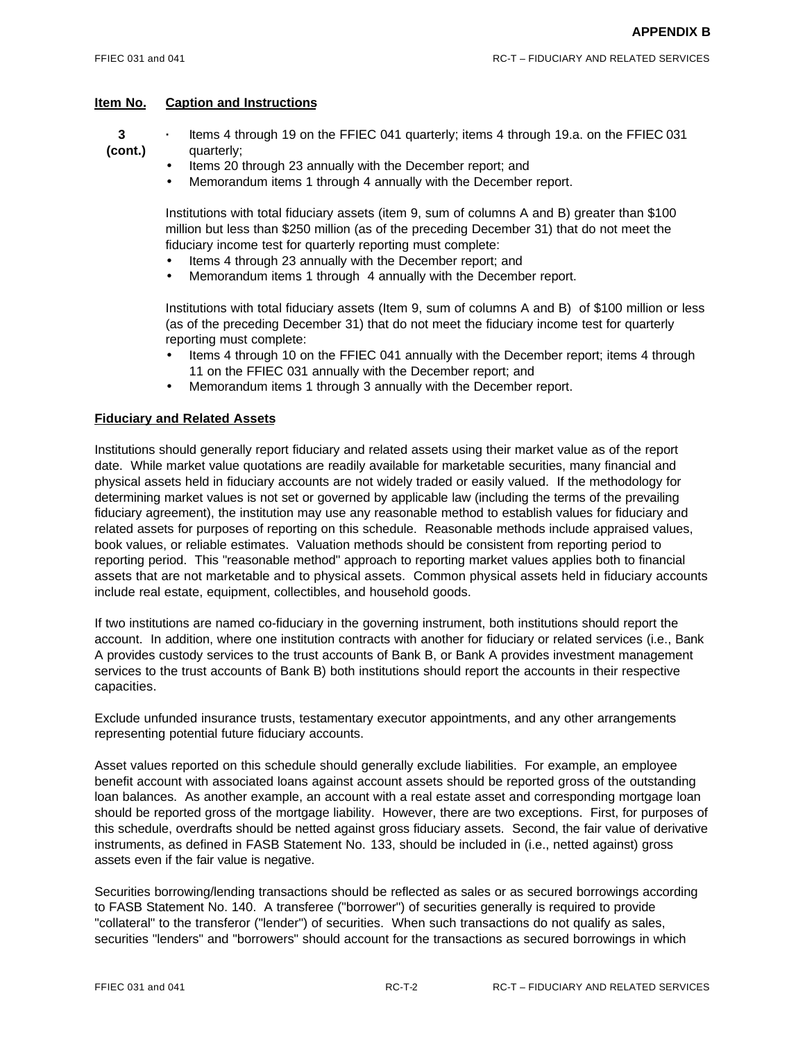- **3 ·** Items 4 through 19 on the FFIEC 041 quarterly; items 4 through 19.a. on the FFIEC 031 **(cont.)** quarterly;
	- Items 20 through 23 annually with the December report; and
	- Memorandum items 1 through 4 annually with the December report.

Institutions with total fiduciary assets (item 9, sum of columns A and B) greater than \$100 million but less than \$250 million (as of the preceding December 31) that do not meet the fiduciary income test for quarterly reporting must complete:

- Items 4 through 23 annually with the December report; and
- Memorandum items 1 through 4 annually with the December report.

Institutions with total fiduciary assets (Item 9, sum of columns A and B) of \$100 million or less (as of the preceding December 31) that do not meet the fiduciary income test for quarterly reporting must complete:

- Items 4 through 10 on the FFIEC 041 annually with the December report; items 4 through 11 on the FFIEC 031 annually with the December report; and
- Memorandum items 1 through 3 annually with the December report.

### **Fiduciary and Related Assets**

Institutions should generally report fiduciary and related assets using their market value as of the report date. While market value quotations are readily available for marketable securities, many financial and physical assets held in fiduciary accounts are not widely traded or easily valued. If the methodology for determining market values is not set or governed by applicable law (including the terms of the prevailing fiduciary agreement), the institution may use any reasonable method to establish values for fiduciary and related assets for purposes of reporting on this schedule. Reasonable methods include appraised values, book values, or reliable estimates. Valuation methods should be consistent from reporting period to reporting period. This "reasonable method" approach to reporting market values applies both to financial assets that are not marketable and to physical assets. Common physical assets held in fiduciary accounts include real estate, equipment, collectibles, and household goods.

If two institutions are named co-fiduciary in the governing instrument, both institutions should report the account. In addition, where one institution contracts with another for fiduciary or related services (i.e., Bank A provides custody services to the trust accounts of Bank B, or Bank A provides investment management services to the trust accounts of Bank B) both institutions should report the accounts in their respective capacities.

Exclude unfunded insurance trusts, testamentary executor appointments, and any other arrangements representing potential future fiduciary accounts.

Asset values reported on this schedule should generally exclude liabilities. For example, an employee benefit account with associated loans against account assets should be reported gross of the outstanding loan balances. As another example, an account with a real estate asset and corresponding mortgage loan should be reported gross of the mortgage liability. However, there are two exceptions. First, for purposes of this schedule, overdrafts should be netted against gross fiduciary assets. Second, the fair value of derivative instruments, as defined in FASB Statement No. 133, should be included in (i.e., netted against) gross assets even if the fair value is negative.

Securities borrowing/lending transactions should be reflected as sales or as secured borrowings according to FASB Statement No. 140. A transferee ("borrower") of securities generally is required to provide "collateral" to the transferor ("lender") of securities. When such transactions do not qualify as sales, securities "lenders" and "borrowers" should account for the transactions as secured borrowings in which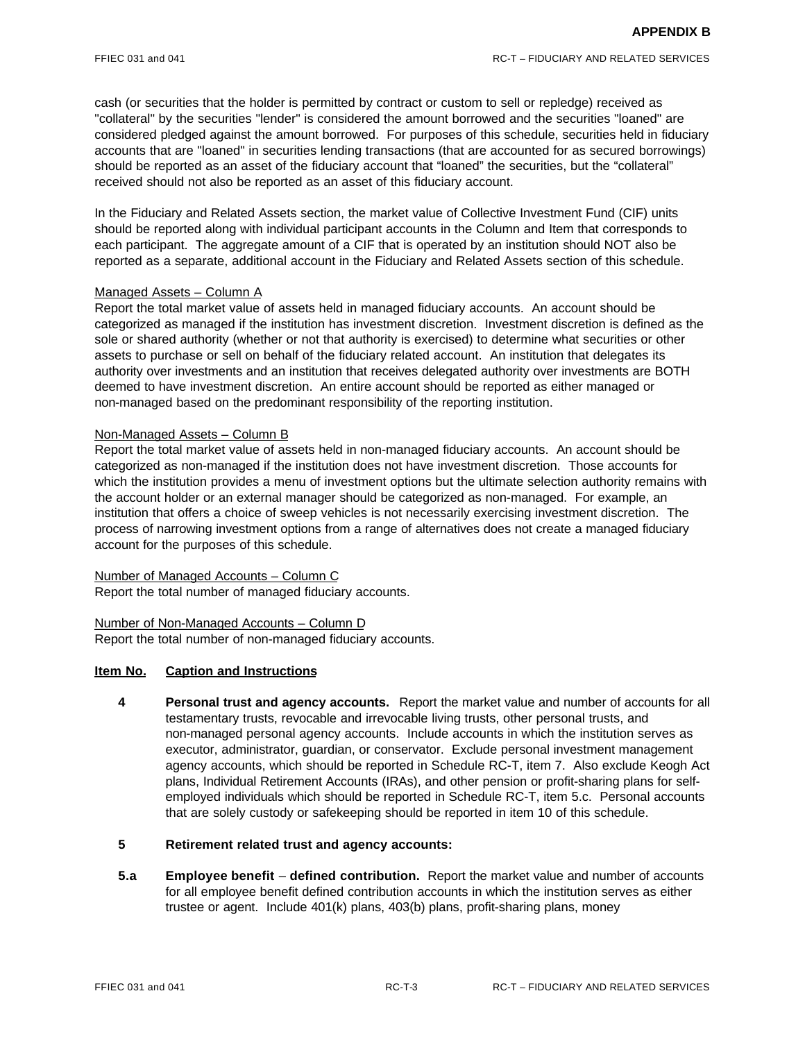cash (or securities that the holder is permitted by contract or custom to sell or repledge) received as "collateral" by the securities "lender" is considered the amount borrowed and the securities "loaned" are considered pledged against the amount borrowed. For purposes of this schedule, securities held in fiduciary accounts that are "loaned" in securities lending transactions (that are accounted for as secured borrowings) should be reported as an asset of the fiduciary account that "loaned" the securities, but the "collateral" received should not also be reported as an asset of this fiduciary account.

In the Fiduciary and Related Assets section, the market value of Collective Investment Fund (CIF) units should be reported along with individual participant accounts in the Column and Item that corresponds to each participant. The aggregate amount of a CIF that is operated by an institution should NOT also be reported as a separate, additional account in the Fiduciary and Related Assets section of this schedule.

# Managed Assets – Column A

Report the total market value of assets held in managed fiduciary accounts. An account should be categorized as managed if the institution has investment discretion. Investment discretion is defined as the sole or shared authority (whether or not that authority is exercised) to determine what securities or other assets to purchase or sell on behalf of the fiduciary related account. An institution that delegates its authority over investments and an institution that receives delegated authority over investments are BOTH deemed to have investment discretion. An entire account should be reported as either managed or non-managed based on the predominant responsibility of the reporting institution.

### Non-Managed Assets – Column B

Report the total market value of assets held in non-managed fiduciary accounts. An account should be categorized as non-managed if the institution does not have investment discretion. Those accounts for which the institution provides a menu of investment options but the ultimate selection authority remains with the account holder or an external manager should be categorized as non-managed. For example, an institution that offers a choice of sweep vehicles is not necessarily exercising investment discretion. The process of narrowing investment options from a range of alternatives does not create a managed fiduciary account for the purposes of this schedule.

Number of Managed Accounts – Column C Report the total number of managed fiduciary accounts.

Number of Non-Managed Accounts – Column D Report the total number of non-managed fiduciary accounts.

# **Item No. Caption and Instructions**

**4 Personal trust and agency accounts.** Report the market value and number of accounts for all testamentary trusts, revocable and irrevocable living trusts, other personal trusts, and non-managed personal agency accounts. Include accounts in which the institution serves as executor, administrator, guardian, or conservator. Exclude personal investment management agency accounts, which should be reported in Schedule RC-T, item 7. Also exclude Keogh Act plans, Individual Retirement Accounts (IRAs), and other pension or profit-sharing plans for selfemployed individuals which should be reported in Schedule RC-T, item 5.c. Personal accounts that are solely custody or safekeeping should be reported in item 10 of this schedule.

# **5 Retirement related trust and agency accounts:**

**5.a Employee benefit** – **defined contribution.** Report the market value and number of accounts for all employee benefit defined contribution accounts in which the institution serves as either trustee or agent. Include 401(k) plans, 403(b) plans, profit-sharing plans, money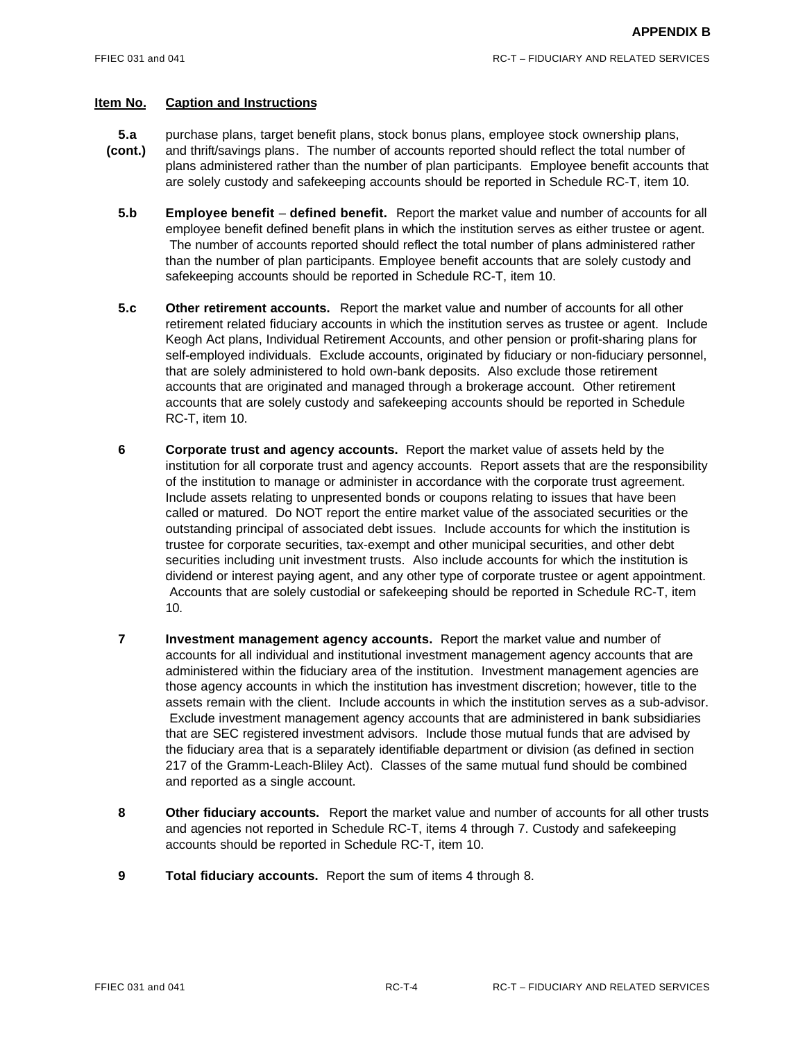- **5.a** purchase plans, target benefit plans, stock bonus plans, employee stock ownership plans,
- **(cont.)** and thrift/savings plans. The number of accounts reported should reflect the total number of plans administered rather than the number of plan participants. Employee benefit accounts that are solely custody and safekeeping accounts should be reported in Schedule RC-T, item 10.
	- **5.b Employee benefit defined benefit.** Report the market value and number of accounts for all employee benefit defined benefit plans in which the institution serves as either trustee or agent. The number of accounts reported should reflect the total number of plans administered rather than the number of plan participants. Employee benefit accounts that are solely custody and safekeeping accounts should be reported in Schedule RC-T, item 10.
	- **5.c Other retirement accounts.** Report the market value and number of accounts for all other retirement related fiduciary accounts in which the institution serves as trustee or agent. Include Keogh Act plans, Individual Retirement Accounts, and other pension or profit-sharing plans for self-employed individuals. Exclude accounts, originated by fiduciary or non-fiduciary personnel, that are solely administered to hold own-bank deposits. Also exclude those retirement accounts that are originated and managed through a brokerage account. Other retirement accounts that are solely custody and safekeeping accounts should be reported in Schedule RC-T, item 10.
	- **6 Corporate trust and agency accounts.** Report the market value of assets held by the institution for all corporate trust and agency accounts. Report assets that are the responsibility of the institution to manage or administer in accordance with the corporate trust agreement. Include assets relating to unpresented bonds or coupons relating to issues that have been called or matured. Do NOT report the entire market value of the associated securities or the outstanding principal of associated debt issues. Include accounts for which the institution is trustee for corporate securities, tax-exempt and other municipal securities, and other debt securities including unit investment trusts. Also include accounts for which the institution is dividend or interest paying agent, and any other type of corporate trustee or agent appointment. Accounts that are solely custodial or safekeeping should be reported in Schedule RC-T, item 10.
	- **7 Investment management agency accounts.** Report the market value and number of accounts for all individual and institutional investment management agency accounts that are administered within the fiduciary area of the institution. Investment management agencies are those agency accounts in which the institution has investment discretion; however, title to the assets remain with the client. Include accounts in which the institution serves as a sub-advisor. Exclude investment management agency accounts that are administered in bank subsidiaries that are SEC registered investment advisors. Include those mutual funds that are advised by the fiduciary area that is a separately identifiable department or division (as defined in section 217 of the Gramm-Leach-Bliley Act). Classes of the same mutual fund should be combined and reported as a single account.
	- **8 Other fiduciary accounts.** Report the market value and number of accounts for all other trusts and agencies not reported in Schedule RC-T, items 4 through 7. Custody and safekeeping accounts should be reported in Schedule RC-T, item 10.
	- **9 Total fiduciary accounts.** Report the sum of items 4 through 8.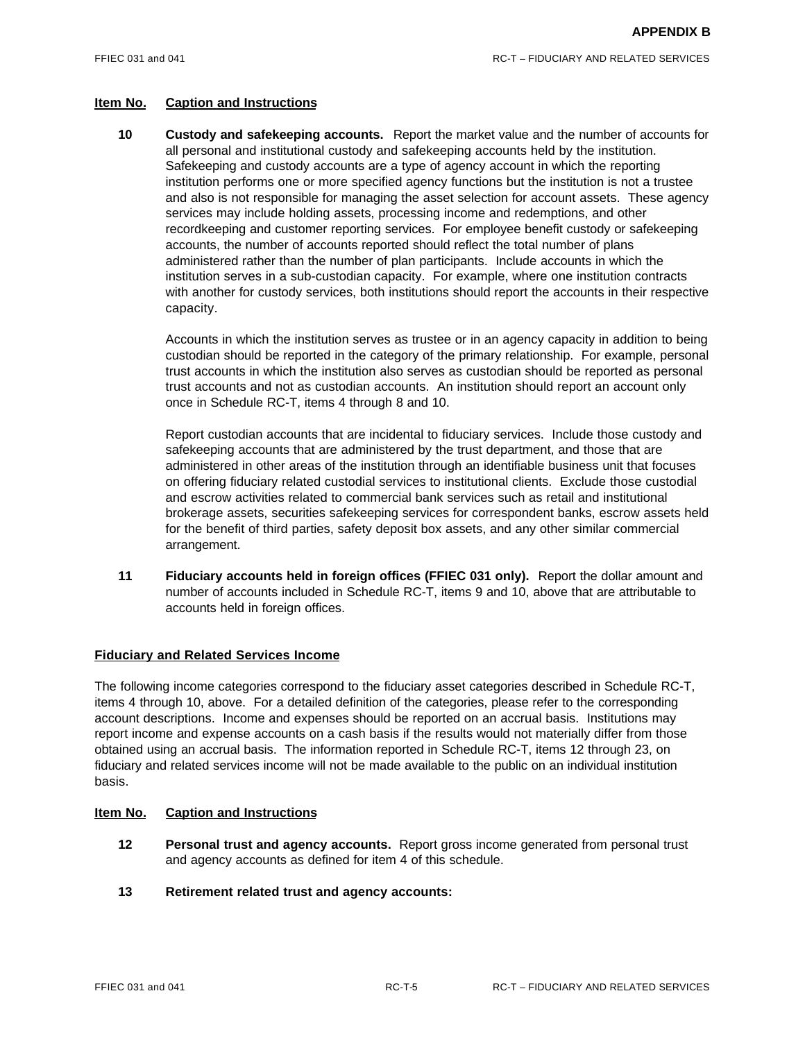**10 Custody and safekeeping accounts.** Report the market value and the number of accounts for all personal and institutional custody and safekeeping accounts held by the institution. Safekeeping and custody accounts are a type of agency account in which the reporting institution performs one or more specified agency functions but the institution is not a trustee and also is not responsible for managing the asset selection for account assets. These agency services may include holding assets, processing income and redemptions, and other recordkeeping and customer reporting services. For employee benefit custody or safekeeping accounts, the number of accounts reported should reflect the total number of plans administered rather than the number of plan participants. Include accounts in which the institution serves in a sub-custodian capacity. For example, where one institution contracts with another for custody services, both institutions should report the accounts in their respective capacity.

Accounts in which the institution serves as trustee or in an agency capacity in addition to being custodian should be reported in the category of the primary relationship. For example, personal trust accounts in which the institution also serves as custodian should be reported as personal trust accounts and not as custodian accounts. An institution should report an account only once in Schedule RC-T, items 4 through 8 and 10.

Report custodian accounts that are incidental to fiduciary services. Include those custody and safekeeping accounts that are administered by the trust department, and those that are administered in other areas of the institution through an identifiable business unit that focuses on offering fiduciary related custodial services to institutional clients. Exclude those custodial and escrow activities related to commercial bank services such as retail and institutional brokerage assets, securities safekeeping services for correspondent banks, escrow assets held for the benefit of third parties, safety deposit box assets, and any other similar commercial arrangement.

**11 Fiduciary accounts held in foreign offices (FFIEC 031 only).** Report the dollar amount and number of accounts included in Schedule RC-T, items 9 and 10, above that are attributable to accounts held in foreign offices.

# **Fiduciary and Related Services Income**

The following income categories correspond to the fiduciary asset categories described in Schedule RC-T, items 4 through 10, above. For a detailed definition of the categories, please refer to the corresponding account descriptions. Income and expenses should be reported on an accrual basis. Institutions may report income and expense accounts on a cash basis if the results would not materially differ from those obtained using an accrual basis. The information reported in Schedule RC-T, items 12 through 23, on fiduciary and related services income will not be made available to the public on an individual institution basis.

- **12 Personal trust and agency accounts.** Report gross income generated from personal trust and agency accounts as defined for item 4 of this schedule.
- **13 Retirement related trust and agency accounts:**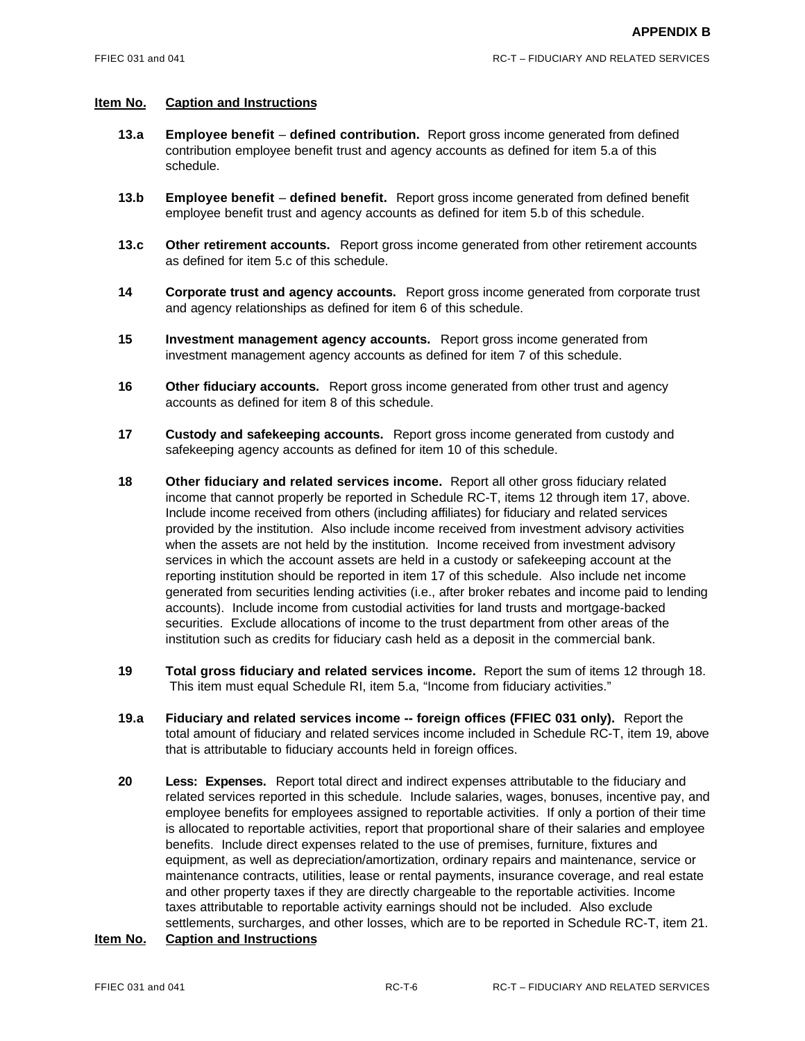- **13.a Employee benefit defined contribution.** Report gross income generated from defined contribution employee benefit trust and agency accounts as defined for item 5.a of this schedule.
- **13.b Employee benefit defined benefit.** Report gross income generated from defined benefit employee benefit trust and agency accounts as defined for item 5.b of this schedule.
- **13.c Other retirement accounts.** Report gross income generated from other retirement accounts as defined for item 5.c of this schedule.
- **14 Corporate trust and agency accounts.** Report gross income generated from corporate trust and agency relationships as defined for item 6 of this schedule.
- **15 Investment management agency accounts.** Report gross income generated from investment management agency accounts as defined for item 7 of this schedule.
- **16 Other fiduciary accounts.** Report gross income generated from other trust and agency accounts as defined for item 8 of this schedule.
- **17 Custody and safekeeping accounts.** Report gross income generated from custody and safekeeping agency accounts as defined for item 10 of this schedule.
- **18 Other fiduciary and related services income.** Report all other gross fiduciary related income that cannot properly be reported in Schedule RC-T, items 12 through item 17, above. Include income received from others (including affiliates) for fiduciary and related services provided by the institution. Also include income received from investment advisory activities when the assets are not held by the institution. Income received from investment advisory services in which the account assets are held in a custody or safekeeping account at the reporting institution should be reported in item 17 of this schedule. Also include net income generated from securities lending activities (i.e., after broker rebates and income paid to lending accounts). Include income from custodial activities for land trusts and mortgage-backed securities. Exclude allocations of income to the trust department from other areas of the institution such as credits for fiduciary cash held as a deposit in the commercial bank.
- **19 Total gross fiduciary and related services income.** Report the sum of items 12 through 18. This item must equal Schedule RI, item 5.a, "Income from fiduciary activities."
- **19.a Fiduciary and related services income -- foreign offices (FFIEC 031 only).** Report the total amount of fiduciary and related services income included in Schedule RC-T, item 19, above that is attributable to fiduciary accounts held in foreign offices.
- **20 Less: Expenses.** Report total direct and indirect expenses attributable to the fiduciary and related services reported in this schedule. Include salaries, wages, bonuses, incentive pay, and employee benefits for employees assigned to reportable activities. If only a portion of their time is allocated to reportable activities, report that proportional share of their salaries and employee benefits. Include direct expenses related to the use of premises, furniture, fixtures and equipment, as well as depreciation/amortization, ordinary repairs and maintenance, service or maintenance contracts, utilities, lease or rental payments, insurance coverage, and real estate and other property taxes if they are directly chargeable to the reportable activities. Income taxes attributable to reportable activity earnings should not be included. Also exclude settlements, surcharges, and other losses, which are to be reported in Schedule RC-T, item 21.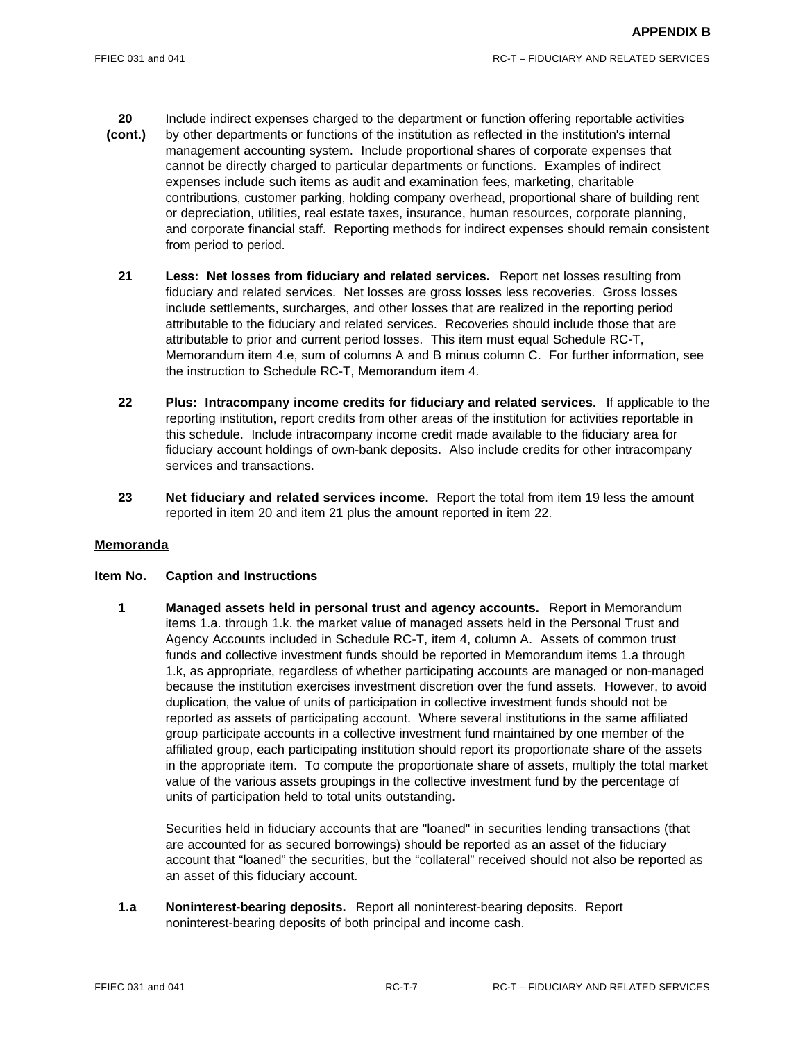- **20** Include indirect expenses charged to the department or function offering reportable activities
- **(cont.)** by other departments or functions of the institution as reflected in the institution's internal management accounting system. Include proportional shares of corporate expenses that cannot be directly charged to particular departments or functions. Examples of indirect expenses include such items as audit and examination fees, marketing, charitable contributions, customer parking, holding company overhead, proportional share of building rent or depreciation, utilities, real estate taxes, insurance, human resources, corporate planning, and corporate financial staff. Reporting methods for indirect expenses should remain consistent from period to period.
	- **21 Less: Net losses from fiduciary and related services.** Report net losses resulting from fiduciary and related services. Net losses are gross losses less recoveries. Gross losses include settlements, surcharges, and other losses that are realized in the reporting period attributable to the fiduciary and related services. Recoveries should include those that are attributable to prior and current period losses. This item must equal Schedule RC-T, Memorandum item 4.e, sum of columns A and B minus column C. For further information, see the instruction to Schedule RC-T, Memorandum item 4.
	- **22 Plus: Intracompany income credits for fiduciary and related services.** If applicable to the reporting institution, report credits from other areas of the institution for activities reportable in this schedule. Include intracompany income credit made available to the fiduciary area for fiduciary account holdings of own-bank deposits. Also include credits for other intracompany services and transactions.
	- **23 Net fiduciary and related services income.** Report the total from item 19 less the amount reported in item 20 and item 21 plus the amount reported in item 22.

# **Item No. Caption and Instructions**

**1 Managed assets held in personal trust and agency accounts.** Report in Memorandum items 1.a. through 1.k. the market value of managed assets held in the Personal Trust and Agency Accounts included in Schedule RC-T, item 4, column A. Assets of common trust funds and collective investment funds should be reported in Memorandum items 1.a through 1.k, as appropriate, regardless of whether participating accounts are managed or non-managed because the institution exercises investment discretion over the fund assets. However, to avoid duplication, the value of units of participation in collective investment funds should not be reported as assets of participating account. Where several institutions in the same affiliated group participate accounts in a collective investment fund maintained by one member of the affiliated group, each participating institution should report its proportionate share of the assets in the appropriate item. To compute the proportionate share of assets, multiply the total market value of the various assets groupings in the collective investment fund by the percentage of units of participation held to total units outstanding.

Securities held in fiduciary accounts that are "loaned" in securities lending transactions (that are accounted for as secured borrowings) should be reported as an asset of the fiduciary account that "loaned" the securities, but the "collateral" received should not also be reported as an asset of this fiduciary account.

**1.a Noninterest-bearing deposits.** Report all noninterest-bearing deposits. Report noninterest-bearing deposits of both principal and income cash.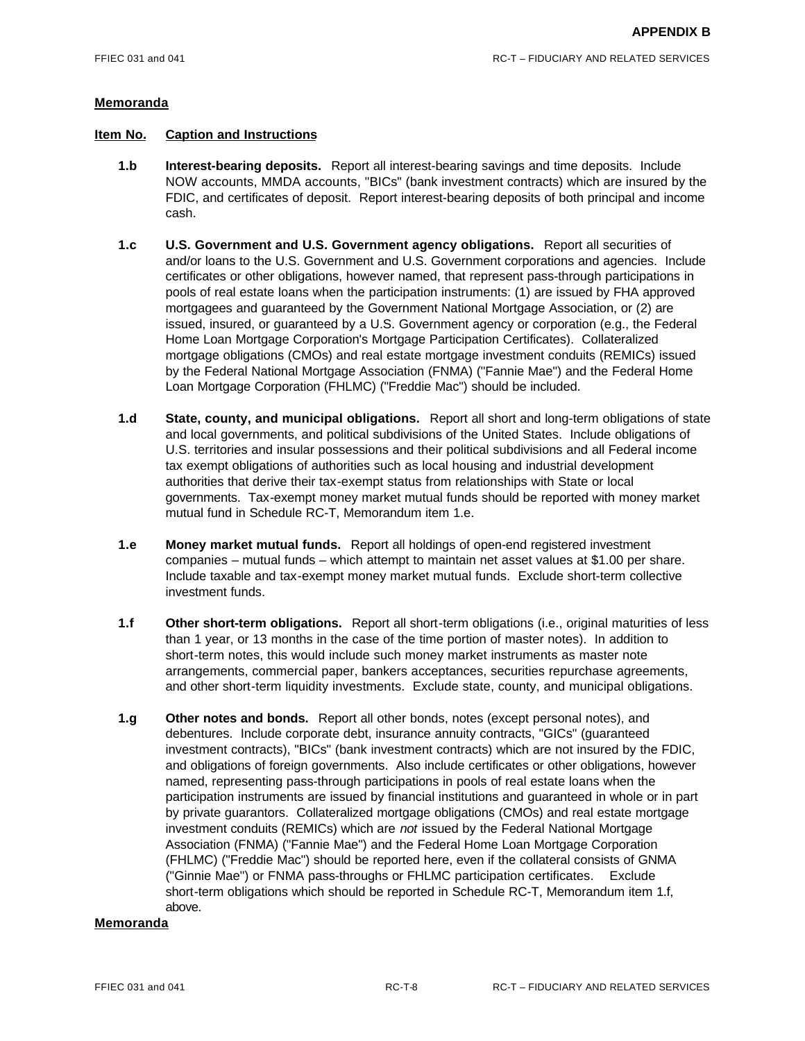### **Item No. Caption and Instructions**

- **1.b Interest-bearing deposits.** Report all interest-bearing savings and time deposits. Include NOW accounts, MMDA accounts, "BICs" (bank investment contracts) which are insured by the FDIC, and certificates of deposit. Report interest-bearing deposits of both principal and income cash.
- **1.c U.S. Government and U.S. Government agency obligations.** Report all securities of and/or loans to the U.S. Government and U.S. Government corporations and agencies. Include certificates or other obligations, however named, that represent pass-through participations in pools of real estate loans when the participation instruments: (1) are issued by FHA approved mortgagees and guaranteed by the Government National Mortgage Association, or (2) are issued, insured, or guaranteed by a U.S. Government agency or corporation (e.g., the Federal Home Loan Mortgage Corporation's Mortgage Participation Certificates). Collateralized mortgage obligations (CMOs) and real estate mortgage investment conduits (REMICs) issued by the Federal National Mortgage Association (FNMA) ("Fannie Mae") and the Federal Home Loan Mortgage Corporation (FHLMC) ("Freddie Mac") should be included.
- **1.d State, county, and municipal obligations.** Report all short and long-term obligations of state and local governments, and political subdivisions of the United States. Include obligations of U.S. territories and insular possessions and their political subdivisions and all Federal income tax exempt obligations of authorities such as local housing and industrial development authorities that derive their tax-exempt status from relationships with State or local governments. Tax-exempt money market mutual funds should be reported with money market mutual fund in Schedule RC-T, Memorandum item 1.e.
- **1.e Money market mutual funds.** Report all holdings of open-end registered investment companies – mutual funds – which attempt to maintain net asset values at \$1.00 per share. Include taxable and tax-exempt money market mutual funds. Exclude short-term collective investment funds.
- **1.f Other short-term obligations.** Report all short-term obligations (i.e., original maturities of less than 1 year, or 13 months in the case of the time portion of master notes). In addition to short-term notes, this would include such money market instruments as master note arrangements, commercial paper, bankers acceptances, securities repurchase agreements, and other short-term liquidity investments. Exclude state, county, and municipal obligations.
- **1.g Other notes and bonds.** Report all other bonds, notes (except personal notes), and debentures. Include corporate debt, insurance annuity contracts, "GICs" (guaranteed investment contracts), "BICs" (bank investment contracts) which are not insured by the FDIC, and obligations of foreign governments. Also include certificates or other obligations, however named, representing pass-through participations in pools of real estate loans when the participation instruments are issued by financial institutions and guaranteed in whole or in part by private guarantors. Collateralized mortgage obligations (CMOs) and real estate mortgage investment conduits (REMICs) which are *not* issued by the Federal National Mortgage Association (FNMA) ("Fannie Mae") and the Federal Home Loan Mortgage Corporation (FHLMC) ("Freddie Mac") should be reported here, even if the collateral consists of GNMA ("Ginnie Mae") or FNMA pass-throughs or FHLMC participation certificates. Exclude short-term obligations which should be reported in Schedule RC-T, Memorandum item 1.f, above.

# **Memoranda**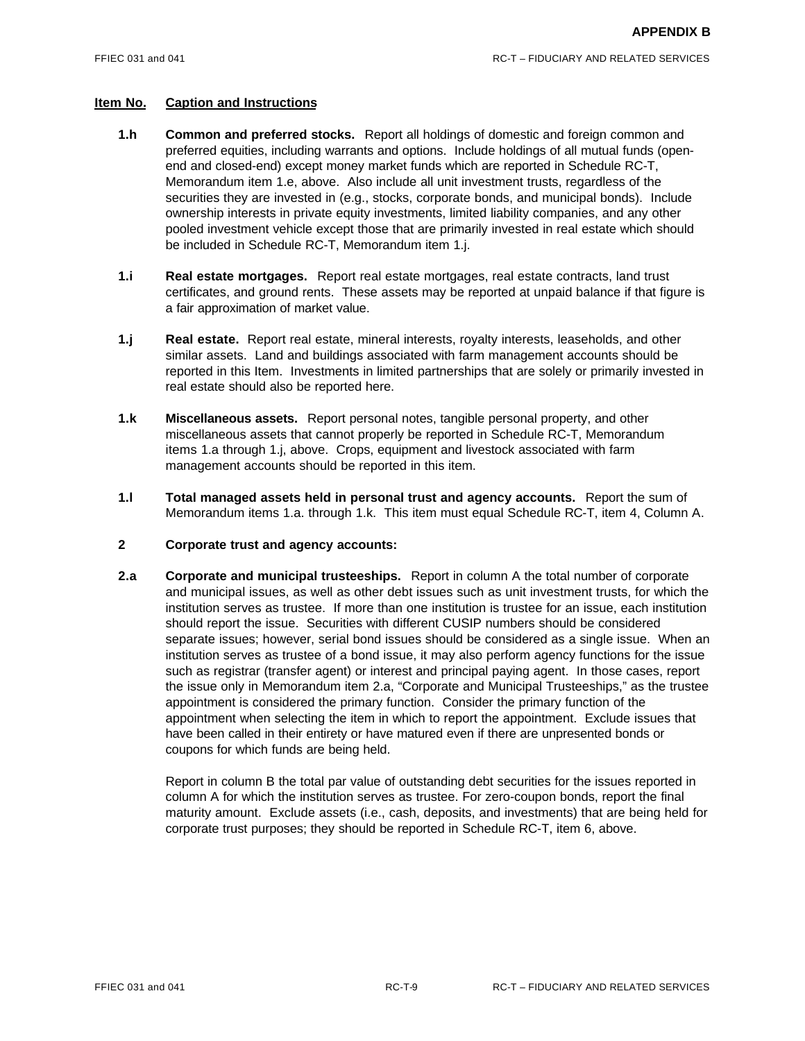- **1.h Common and preferred stocks.** Report all holdings of domestic and foreign common and preferred equities, including warrants and options. Include holdings of all mutual funds (openend and closed-end) except money market funds which are reported in Schedule RC-T, Memorandum item 1.e, above. Also include all unit investment trusts, regardless of the securities they are invested in (e.g., stocks, corporate bonds, and municipal bonds). Include ownership interests in private equity investments, limited liability companies, and any other pooled investment vehicle except those that are primarily invested in real estate which should be included in Schedule RC-T, Memorandum item 1.j.
- **1.i Real estate mortgages.** Report real estate mortgages, real estate contracts, land trust certificates, and ground rents. These assets may be reported at unpaid balance if that figure is a fair approximation of market value.
- **1.j Real estate.** Report real estate, mineral interests, royalty interests, leaseholds, and other similar assets. Land and buildings associated with farm management accounts should be reported in this Item. Investments in limited partnerships that are solely or primarily invested in real estate should also be reported here.
- **1.k Miscellaneous assets.** Report personal notes, tangible personal property, and other miscellaneous assets that cannot properly be reported in Schedule RC-T, Memorandum items 1.a through 1.j, above. Crops, equipment and livestock associated with farm management accounts should be reported in this item.
- **1.l Total managed assets held in personal trust and agency accounts.** Report the sum of Memorandum items 1.a. through 1.k. This item must equal Schedule RC-T, item 4, Column A.

#### **2 Corporate trust and agency accounts:**

**2.a Corporate and municipal trusteeships.** Report in column A the total number of corporate and municipal issues, as well as other debt issues such as unit investment trusts, for which the institution serves as trustee. If more than one institution is trustee for an issue, each institution should report the issue. Securities with different CUSIP numbers should be considered separate issues; however, serial bond issues should be considered as a single issue. When an institution serves as trustee of a bond issue, it may also perform agency functions for the issue such as registrar (transfer agent) or interest and principal paying agent. In those cases, report the issue only in Memorandum item 2.a, "Corporate and Municipal Trusteeships," as the trustee appointment is considered the primary function. Consider the primary function of the appointment when selecting the item in which to report the appointment. Exclude issues that have been called in their entirety or have matured even if there are unpresented bonds or coupons for which funds are being held.

Report in column B the total par value of outstanding debt securities for the issues reported in column A for which the institution serves as trustee. For zero-coupon bonds, report the final maturity amount. Exclude assets (i.e., cash, deposits, and investments) that are being held for corporate trust purposes; they should be reported in Schedule RC-T, item 6, above.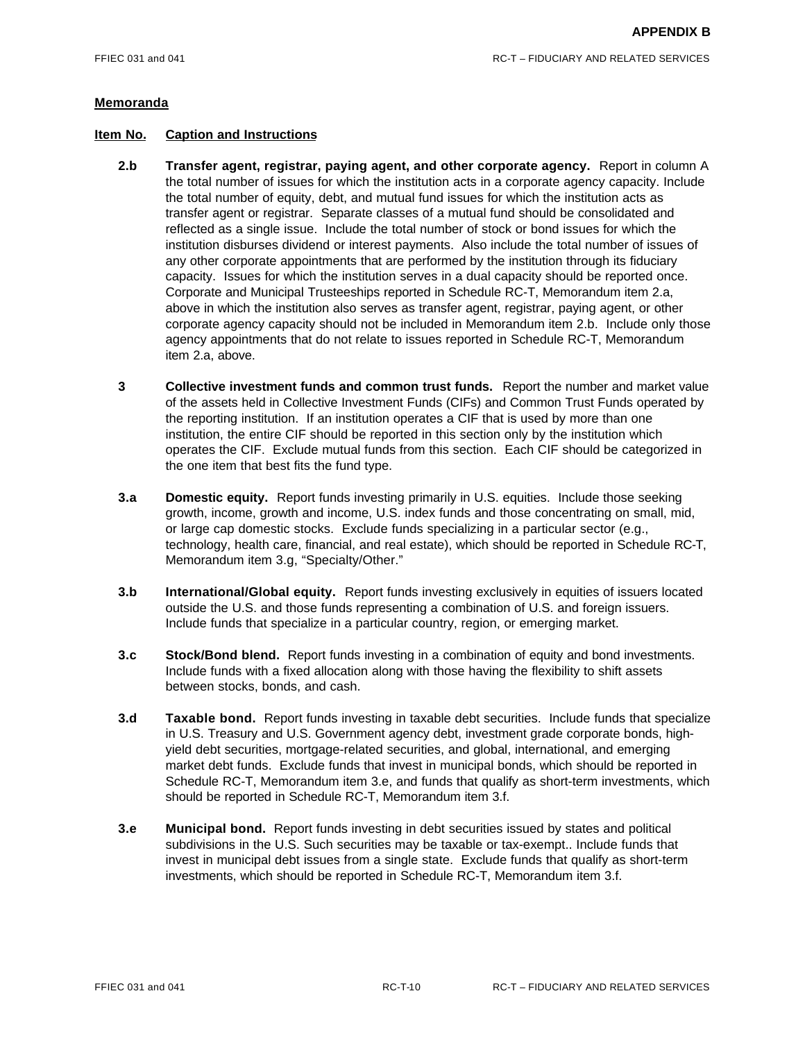- **2.b Transfer agent, registrar, paying agent, and other corporate agency.** Report in column A the total number of issues for which the institution acts in a corporate agency capacity. Include the total number of equity, debt, and mutual fund issues for which the institution acts as transfer agent or registrar. Separate classes of a mutual fund should be consolidated and reflected as a single issue. Include the total number of stock or bond issues for which the institution disburses dividend or interest payments. Also include the total number of issues of any other corporate appointments that are performed by the institution through its fiduciary capacity. Issues for which the institution serves in a dual capacity should be reported once. Corporate and Municipal Trusteeships reported in Schedule RC-T, Memorandum item 2.a, above in which the institution also serves as transfer agent, registrar, paying agent, or other corporate agency capacity should not be included in Memorandum item 2.b. Include only those agency appointments that do not relate to issues reported in Schedule RC-T, Memorandum item 2.a, above.
- **3 Collective investment funds and common trust funds.** Report the number and market value of the assets held in Collective Investment Funds (CIFs) and Common Trust Funds operated by the reporting institution. If an institution operates a CIF that is used by more than one institution, the entire CIF should be reported in this section only by the institution which operates the CIF. Exclude mutual funds from this section. Each CIF should be categorized in the one item that best fits the fund type.
- **3.a Domestic equity.** Report funds investing primarily in U.S. equities. Include those seeking growth, income, growth and income, U.S. index funds and those concentrating on small, mid, or large cap domestic stocks. Exclude funds specializing in a particular sector (e.g., technology, health care, financial, and real estate), which should be reported in Schedule RC-T, Memorandum item 3.g, "Specialty/Other."
- **3.b International/Global equity.** Report funds investing exclusively in equities of issuers located outside the U.S. and those funds representing a combination of U.S. and foreign issuers. Include funds that specialize in a particular country, region, or emerging market.
- **3.c Stock/Bond blend.** Report funds investing in a combination of equity and bond investments. Include funds with a fixed allocation along with those having the flexibility to shift assets between stocks, bonds, and cash.
- **3.d Taxable bond.** Report funds investing in taxable debt securities. Include funds that specialize in U.S. Treasury and U.S. Government agency debt, investment grade corporate bonds, highyield debt securities, mortgage-related securities, and global, international, and emerging market debt funds. Exclude funds that invest in municipal bonds, which should be reported in Schedule RC-T, Memorandum item 3.e, and funds that qualify as short-term investments, which should be reported in Schedule RC-T, Memorandum item 3.f.
- **3.e Municipal bond.** Report funds investing in debt securities issued by states and political subdivisions in the U.S. Such securities may be taxable or tax-exempt.. Include funds that invest in municipal debt issues from a single state. Exclude funds that qualify as short-term investments, which should be reported in Schedule RC-T, Memorandum item 3.f.